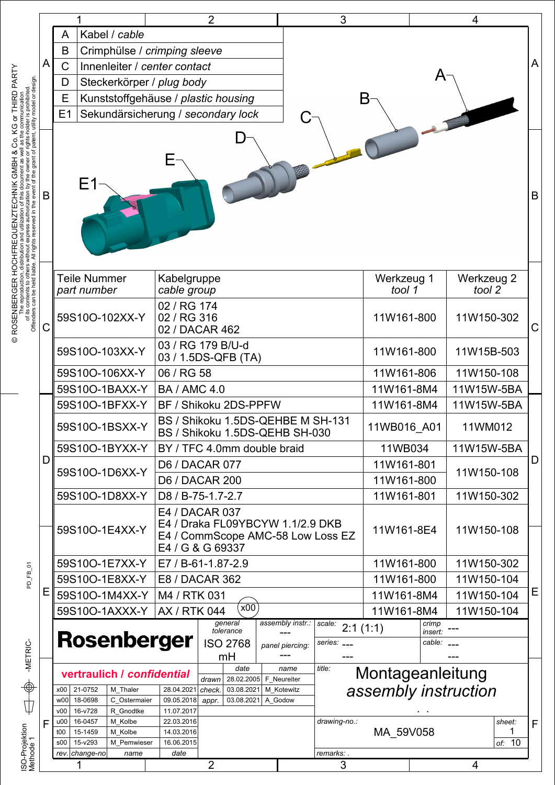| Kabel / cable<br>A<br>B<br>Crimphülse / crimping sleeve<br>A<br>$\mathsf C$<br>Innenleiter / center contact<br>A<br>Steckerkörper / plug body<br>D<br>Е<br>Kunststoffgehäuse / plastic housing<br>B<br>E1<br>Sekundärsicherung / secondary lock<br>Ε1<br>В<br><b>Teile Nummer</b><br>Kabelgruppe<br>Werkzeug 1<br>Werkzeug 2<br>cable group<br>tool 1<br>tool 2<br>part number<br>02 / RG 174<br>59S10O-102XX-Y<br>02 / RG 316<br>11W161-800<br>11W150-302<br>С<br>02 / DACAR 462<br>03 / RG 179 B/U-d<br>59S10O-103XX-Y<br>11W161-800<br>11W15B-503<br>03 / 1.5DS-QFB (TA)<br>06 / RG 58<br>59S10O-106XX-Y<br>11W161-806<br>11W150-108<br>59S10O-1BAXX-Y<br>11W161-8M4<br><b>BA / AMC 4.0</b><br>11W15W-5BA<br>59S10O-1BFXX-Y<br>11W161-8M4<br>11W15W-5BA<br>BF / Shikoku 2DS-PPFW<br>BS / Shikoku 1.5DS-QEHBE M SH-131<br>59S10O-1BSXX-Y<br>11WB016 A01<br>11WM012<br>BS / Shikoku 1.5DS-QEHB SH-030<br>BY / TFC 4.0mm double braid<br>59S10O-1BYXX-Y<br>11WB034<br>11W15W-5BA<br>D<br>11W161-801<br>D6 / DACAR 077<br>59S10O-1D6XX-Y<br>11W150-108<br><b>D6 / DACAR 200</b><br>11W161-800<br>59S10O-1D8XX-Y<br>11W161-801<br>D8 / B-75-1.7-2.7<br>11W150-302<br>E4 / DACAR 037<br>E4 / Draka FL09YBCYW 1.1/2.9 DKB<br>59S10O-1E4XX-Y<br>11W161-8E4<br>11W150-108<br>E4 / CommScope AMC-58 Low Loss EZ<br>E4 / G & G 69337<br>59S10O-1E7XX-Y<br>E7 / B-61-1.87-2.9<br>11W161-800<br>11W150-302<br>59S10O-1E8XX-Y<br>E8 / DACAR 362<br>11W161-800<br>11W150-104<br>Ε<br>59S10O-1M4XX-Y<br>M4 / RTK 031<br>11W161-8M4<br>11W150-104<br>$\overline{X00}$<br><b>AX / RTK 044</b><br>59S10O-1AXXX-Y<br>11W161-8M4<br>11W150-104<br>assembly instr.:<br>general<br>$\overline{scale:}$ 2:1 (1:1)<br>crimp<br>tolerance<br>insert:<br><b>Rosenberger</b><br><b>ISO 2768</b><br>cable:<br>series: ___<br>panel piercing:<br>mH<br>date<br>title:<br>name<br>Montageanleitung<br>vertraulich / confidential<br>28.02.2005   F Neureiter<br>drawn<br>assembly instruction<br>21-0752<br>M Thaler<br>28.04.2021<br>check.<br>M Kotewitz<br>x00<br>03.08.2021<br>C Ostermaier<br>w00<br>18-0698<br>09.05.2018<br>03.08.2021<br>A Godow<br>appr.<br>16-v728<br>11.07.2017<br>R Gnodtke<br>v00<br>16-0457<br>M Kolbe<br>22.03.2016<br>drawing-no.:<br>sheet:<br>u00<br>F<br>MA 59V058<br>1<br>15-1459<br>M Kolbe<br>14.03.2016<br>t00<br>of: 10<br>15-y293<br>16.06.2015<br>M Pemwieser<br>\$00<br>remarks:<br>rev. change-no<br>date<br>name |  |  |  | 2 |  | 3 |  |  | 4 |   |
|-----------------------------------------------------------------------------------------------------------------------------------------------------------------------------------------------------------------------------------------------------------------------------------------------------------------------------------------------------------------------------------------------------------------------------------------------------------------------------------------------------------------------------------------------------------------------------------------------------------------------------------------------------------------------------------------------------------------------------------------------------------------------------------------------------------------------------------------------------------------------------------------------------------------------------------------------------------------------------------------------------------------------------------------------------------------------------------------------------------------------------------------------------------------------------------------------------------------------------------------------------------------------------------------------------------------------------------------------------------------------------------------------------------------------------------------------------------------------------------------------------------------------------------------------------------------------------------------------------------------------------------------------------------------------------------------------------------------------------------------------------------------------------------------------------------------------------------------------------------------------------------------------------------------------------------------------------------------------------------------------------------------------------------------------------------------------------------------------------------------------------------------------------------------------------------------------------------------------------------------------------------------------------------------------------------------------------------------------------------------------------------------------------------------------------------|--|--|--|---|--|---|--|--|---|---|
|                                                                                                                                                                                                                                                                                                                                                                                                                                                                                                                                                                                                                                                                                                                                                                                                                                                                                                                                                                                                                                                                                                                                                                                                                                                                                                                                                                                                                                                                                                                                                                                                                                                                                                                                                                                                                                                                                                                                                                                                                                                                                                                                                                                                                                                                                                                                                                                                                                   |  |  |  |   |  |   |  |  |   |   |
|                                                                                                                                                                                                                                                                                                                                                                                                                                                                                                                                                                                                                                                                                                                                                                                                                                                                                                                                                                                                                                                                                                                                                                                                                                                                                                                                                                                                                                                                                                                                                                                                                                                                                                                                                                                                                                                                                                                                                                                                                                                                                                                                                                                                                                                                                                                                                                                                                                   |  |  |  |   |  |   |  |  |   |   |
|                                                                                                                                                                                                                                                                                                                                                                                                                                                                                                                                                                                                                                                                                                                                                                                                                                                                                                                                                                                                                                                                                                                                                                                                                                                                                                                                                                                                                                                                                                                                                                                                                                                                                                                                                                                                                                                                                                                                                                                                                                                                                                                                                                                                                                                                                                                                                                                                                                   |  |  |  |   |  |   |  |  |   | Α |
|                                                                                                                                                                                                                                                                                                                                                                                                                                                                                                                                                                                                                                                                                                                                                                                                                                                                                                                                                                                                                                                                                                                                                                                                                                                                                                                                                                                                                                                                                                                                                                                                                                                                                                                                                                                                                                                                                                                                                                                                                                                                                                                                                                                                                                                                                                                                                                                                                                   |  |  |  |   |  |   |  |  |   |   |
|                                                                                                                                                                                                                                                                                                                                                                                                                                                                                                                                                                                                                                                                                                                                                                                                                                                                                                                                                                                                                                                                                                                                                                                                                                                                                                                                                                                                                                                                                                                                                                                                                                                                                                                                                                                                                                                                                                                                                                                                                                                                                                                                                                                                                                                                                                                                                                                                                                   |  |  |  |   |  |   |  |  |   |   |
|                                                                                                                                                                                                                                                                                                                                                                                                                                                                                                                                                                                                                                                                                                                                                                                                                                                                                                                                                                                                                                                                                                                                                                                                                                                                                                                                                                                                                                                                                                                                                                                                                                                                                                                                                                                                                                                                                                                                                                                                                                                                                                                                                                                                                                                                                                                                                                                                                                   |  |  |  |   |  |   |  |  |   |   |
|                                                                                                                                                                                                                                                                                                                                                                                                                                                                                                                                                                                                                                                                                                                                                                                                                                                                                                                                                                                                                                                                                                                                                                                                                                                                                                                                                                                                                                                                                                                                                                                                                                                                                                                                                                                                                                                                                                                                                                                                                                                                                                                                                                                                                                                                                                                                                                                                                                   |  |  |  |   |  |   |  |  |   | B |
|                                                                                                                                                                                                                                                                                                                                                                                                                                                                                                                                                                                                                                                                                                                                                                                                                                                                                                                                                                                                                                                                                                                                                                                                                                                                                                                                                                                                                                                                                                                                                                                                                                                                                                                                                                                                                                                                                                                                                                                                                                                                                                                                                                                                                                                                                                                                                                                                                                   |  |  |  |   |  |   |  |  |   |   |
|                                                                                                                                                                                                                                                                                                                                                                                                                                                                                                                                                                                                                                                                                                                                                                                                                                                                                                                                                                                                                                                                                                                                                                                                                                                                                                                                                                                                                                                                                                                                                                                                                                                                                                                                                                                                                                                                                                                                                                                                                                                                                                                                                                                                                                                                                                                                                                                                                                   |  |  |  |   |  |   |  |  |   |   |
|                                                                                                                                                                                                                                                                                                                                                                                                                                                                                                                                                                                                                                                                                                                                                                                                                                                                                                                                                                                                                                                                                                                                                                                                                                                                                                                                                                                                                                                                                                                                                                                                                                                                                                                                                                                                                                                                                                                                                                                                                                                                                                                                                                                                                                                                                                                                                                                                                                   |  |  |  |   |  |   |  |  |   |   |
|                                                                                                                                                                                                                                                                                                                                                                                                                                                                                                                                                                                                                                                                                                                                                                                                                                                                                                                                                                                                                                                                                                                                                                                                                                                                                                                                                                                                                                                                                                                                                                                                                                                                                                                                                                                                                                                                                                                                                                                                                                                                                                                                                                                                                                                                                                                                                                                                                                   |  |  |  |   |  |   |  |  |   |   |
|                                                                                                                                                                                                                                                                                                                                                                                                                                                                                                                                                                                                                                                                                                                                                                                                                                                                                                                                                                                                                                                                                                                                                                                                                                                                                                                                                                                                                                                                                                                                                                                                                                                                                                                                                                                                                                                                                                                                                                                                                                                                                                                                                                                                                                                                                                                                                                                                                                   |  |  |  |   |  |   |  |  |   |   |
|                                                                                                                                                                                                                                                                                                                                                                                                                                                                                                                                                                                                                                                                                                                                                                                                                                                                                                                                                                                                                                                                                                                                                                                                                                                                                                                                                                                                                                                                                                                                                                                                                                                                                                                                                                                                                                                                                                                                                                                                                                                                                                                                                                                                                                                                                                                                                                                                                                   |  |  |  |   |  |   |  |  |   |   |
|                                                                                                                                                                                                                                                                                                                                                                                                                                                                                                                                                                                                                                                                                                                                                                                                                                                                                                                                                                                                                                                                                                                                                                                                                                                                                                                                                                                                                                                                                                                                                                                                                                                                                                                                                                                                                                                                                                                                                                                                                                                                                                                                                                                                                                                                                                                                                                                                                                   |  |  |  |   |  |   |  |  |   |   |
|                                                                                                                                                                                                                                                                                                                                                                                                                                                                                                                                                                                                                                                                                                                                                                                                                                                                                                                                                                                                                                                                                                                                                                                                                                                                                                                                                                                                                                                                                                                                                                                                                                                                                                                                                                                                                                                                                                                                                                                                                                                                                                                                                                                                                                                                                                                                                                                                                                   |  |  |  |   |  |   |  |  |   |   |
|                                                                                                                                                                                                                                                                                                                                                                                                                                                                                                                                                                                                                                                                                                                                                                                                                                                                                                                                                                                                                                                                                                                                                                                                                                                                                                                                                                                                                                                                                                                                                                                                                                                                                                                                                                                                                                                                                                                                                                                                                                                                                                                                                                                                                                                                                                                                                                                                                                   |  |  |  |   |  |   |  |  | D |   |
|                                                                                                                                                                                                                                                                                                                                                                                                                                                                                                                                                                                                                                                                                                                                                                                                                                                                                                                                                                                                                                                                                                                                                                                                                                                                                                                                                                                                                                                                                                                                                                                                                                                                                                                                                                                                                                                                                                                                                                                                                                                                                                                                                                                                                                                                                                                                                                                                                                   |  |  |  |   |  |   |  |  |   |   |
|                                                                                                                                                                                                                                                                                                                                                                                                                                                                                                                                                                                                                                                                                                                                                                                                                                                                                                                                                                                                                                                                                                                                                                                                                                                                                                                                                                                                                                                                                                                                                                                                                                                                                                                                                                                                                                                                                                                                                                                                                                                                                                                                                                                                                                                                                                                                                                                                                                   |  |  |  |   |  |   |  |  |   |   |
|                                                                                                                                                                                                                                                                                                                                                                                                                                                                                                                                                                                                                                                                                                                                                                                                                                                                                                                                                                                                                                                                                                                                                                                                                                                                                                                                                                                                                                                                                                                                                                                                                                                                                                                                                                                                                                                                                                                                                                                                                                                                                                                                                                                                                                                                                                                                                                                                                                   |  |  |  |   |  |   |  |  |   |   |
|                                                                                                                                                                                                                                                                                                                                                                                                                                                                                                                                                                                                                                                                                                                                                                                                                                                                                                                                                                                                                                                                                                                                                                                                                                                                                                                                                                                                                                                                                                                                                                                                                                                                                                                                                                                                                                                                                                                                                                                                                                                                                                                                                                                                                                                                                                                                                                                                                                   |  |  |  |   |  |   |  |  |   |   |
|                                                                                                                                                                                                                                                                                                                                                                                                                                                                                                                                                                                                                                                                                                                                                                                                                                                                                                                                                                                                                                                                                                                                                                                                                                                                                                                                                                                                                                                                                                                                                                                                                                                                                                                                                                                                                                                                                                                                                                                                                                                                                                                                                                                                                                                                                                                                                                                                                                   |  |  |  |   |  |   |  |  |   |   |
|                                                                                                                                                                                                                                                                                                                                                                                                                                                                                                                                                                                                                                                                                                                                                                                                                                                                                                                                                                                                                                                                                                                                                                                                                                                                                                                                                                                                                                                                                                                                                                                                                                                                                                                                                                                                                                                                                                                                                                                                                                                                                                                                                                                                                                                                                                                                                                                                                                   |  |  |  |   |  |   |  |  |   | Ε |
|                                                                                                                                                                                                                                                                                                                                                                                                                                                                                                                                                                                                                                                                                                                                                                                                                                                                                                                                                                                                                                                                                                                                                                                                                                                                                                                                                                                                                                                                                                                                                                                                                                                                                                                                                                                                                                                                                                                                                                                                                                                                                                                                                                                                                                                                                                                                                                                                                                   |  |  |  |   |  |   |  |  |   |   |
|                                                                                                                                                                                                                                                                                                                                                                                                                                                                                                                                                                                                                                                                                                                                                                                                                                                                                                                                                                                                                                                                                                                                                                                                                                                                                                                                                                                                                                                                                                                                                                                                                                                                                                                                                                                                                                                                                                                                                                                                                                                                                                                                                                                                                                                                                                                                                                                                                                   |  |  |  |   |  |   |  |  |   |   |
|                                                                                                                                                                                                                                                                                                                                                                                                                                                                                                                                                                                                                                                                                                                                                                                                                                                                                                                                                                                                                                                                                                                                                                                                                                                                                                                                                                                                                                                                                                                                                                                                                                                                                                                                                                                                                                                                                                                                                                                                                                                                                                                                                                                                                                                                                                                                                                                                                                   |  |  |  |   |  |   |  |  |   |   |
|                                                                                                                                                                                                                                                                                                                                                                                                                                                                                                                                                                                                                                                                                                                                                                                                                                                                                                                                                                                                                                                                                                                                                                                                                                                                                                                                                                                                                                                                                                                                                                                                                                                                                                                                                                                                                                                                                                                                                                                                                                                                                                                                                                                                                                                                                                                                                                                                                                   |  |  |  |   |  |   |  |  |   |   |
|                                                                                                                                                                                                                                                                                                                                                                                                                                                                                                                                                                                                                                                                                                                                                                                                                                                                                                                                                                                                                                                                                                                                                                                                                                                                                                                                                                                                                                                                                                                                                                                                                                                                                                                                                                                                                                                                                                                                                                                                                                                                                                                                                                                                                                                                                                                                                                                                                                   |  |  |  |   |  |   |  |  |   |   |
|                                                                                                                                                                                                                                                                                                                                                                                                                                                                                                                                                                                                                                                                                                                                                                                                                                                                                                                                                                                                                                                                                                                                                                                                                                                                                                                                                                                                                                                                                                                                                                                                                                                                                                                                                                                                                                                                                                                                                                                                                                                                                                                                                                                                                                                                                                                                                                                                                                   |  |  |  |   |  |   |  |  |   |   |
|                                                                                                                                                                                                                                                                                                                                                                                                                                                                                                                                                                                                                                                                                                                                                                                                                                                                                                                                                                                                                                                                                                                                                                                                                                                                                                                                                                                                                                                                                                                                                                                                                                                                                                                                                                                                                                                                                                                                                                                                                                                                                                                                                                                                                                                                                                                                                                                                                                   |  |  |  |   |  |   |  |  |   |   |
|                                                                                                                                                                                                                                                                                                                                                                                                                                                                                                                                                                                                                                                                                                                                                                                                                                                                                                                                                                                                                                                                                                                                                                                                                                                                                                                                                                                                                                                                                                                                                                                                                                                                                                                                                                                                                                                                                                                                                                                                                                                                                                                                                                                                                                                                                                                                                                                                                                   |  |  |  |   |  |   |  |  |   | F |
|                                                                                                                                                                                                                                                                                                                                                                                                                                                                                                                                                                                                                                                                                                                                                                                                                                                                                                                                                                                                                                                                                                                                                                                                                                                                                                                                                                                                                                                                                                                                                                                                                                                                                                                                                                                                                                                                                                                                                                                                                                                                                                                                                                                                                                                                                                                                                                                                                                   |  |  |  |   |  |   |  |  |   |   |
| $\overline{2}$<br>3<br>4                                                                                                                                                                                                                                                                                                                                                                                                                                                                                                                                                                                                                                                                                                                                                                                                                                                                                                                                                                                                                                                                                                                                                                                                                                                                                                                                                                                                                                                                                                                                                                                                                                                                                                                                                                                                                                                                                                                                                                                                                                                                                                                                                                                                                                                                                                                                                                                                          |  |  |  |   |  |   |  |  |   |   |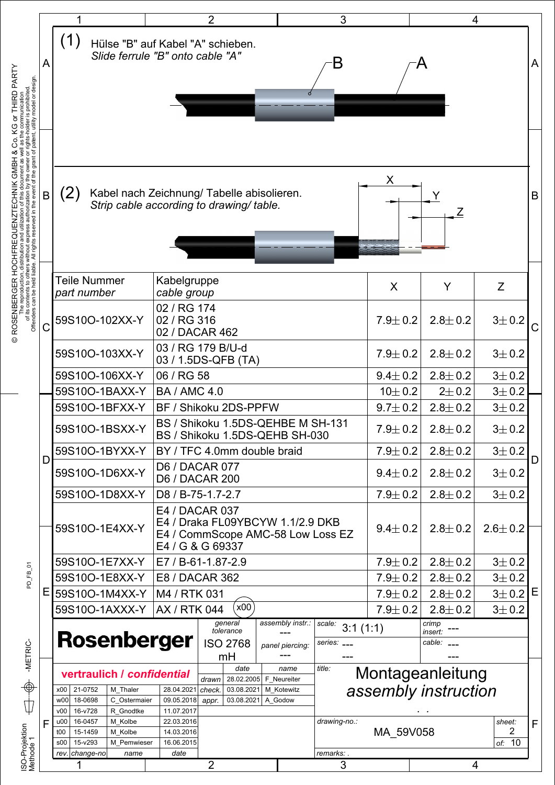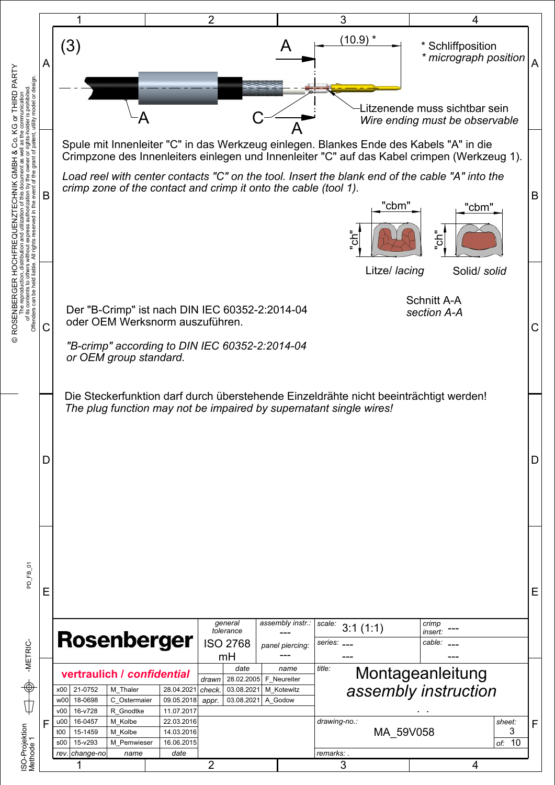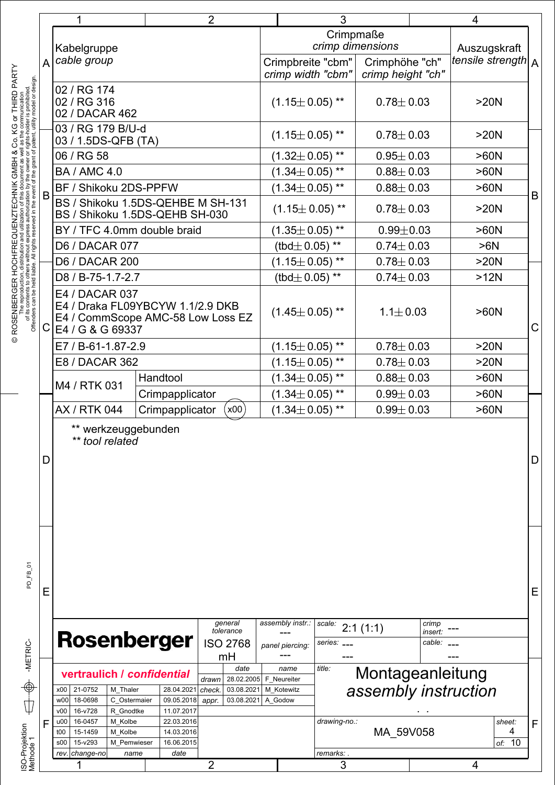|   | 1                                                                    | $\overline{2}$           |                                             | 3                    |                      |                                        | 4                                   |                   |                    |             |  |
|---|----------------------------------------------------------------------|--------------------------|---------------------------------------------|----------------------|----------------------|----------------------------------------|-------------------------------------|-------------------|--------------------|-------------|--|
|   |                                                                      |                          |                                             |                      | Crimpmaße            |                                        |                                     |                   |                    |             |  |
|   | Kabelgruppe                                                          |                          | crimp dimensions                            |                      |                      | Auszugskraft                           |                                     |                   |                    |             |  |
| A | cable group                                                          |                          |                                             |                      |                      | Crimpbreite "cbm"<br>crimp width "cbm" | Crimphöhe "ch"<br>crimp height "ch" |                   | tensile strength A |             |  |
|   | 02 / RG 174                                                          |                          |                                             |                      |                      |                                        |                                     |                   |                    |             |  |
|   | 02 / RG 316                                                          |                          |                                             |                      | $(1.15 \pm 0.05)$ ** |                                        | $0.78 \pm 0.03$                     |                   | >20N               |             |  |
|   | 02 / DACAR 462                                                       |                          |                                             |                      |                      |                                        |                                     |                   |                    |             |  |
|   | 03 / RG 179 B/U-d                                                    |                          |                                             |                      | $(1.15 \pm 0.05)$ ** |                                        | $0.78 + 0.03$                       |                   | >20N               |             |  |
|   | 03 / 1.5DS-QFB (TA)                                                  |                          |                                             |                      |                      |                                        |                                     |                   |                    |             |  |
|   | 06 / RG 58                                                           |                          |                                             |                      | $(1.32 \pm 0.05)$ ** |                                        | $0.95 \pm 0.03$                     |                   | >60N               |             |  |
|   | <b>BA / AMC 4.0</b>                                                  |                          |                                             |                      | $(1.34 \pm 0.05)$ ** |                                        | $0.88 \pm 0.03$                     |                   | >60N               |             |  |
| B | BF / Shikoku 2DS-PPFW                                                |                          |                                             |                      | $(1.34 \pm 0.05)$ ** |                                        | $0.88 \pm 0.03$                     |                   | >60N               | B           |  |
|   | BS / Shikoku 1.5DS-QEHBE M SH-131<br>BS / Shikoku 1.5DS-QEHB SH-030  |                          |                                             |                      | $(1.15 \pm 0.05)$ ** |                                        | $0.78 \pm 0.03$                     |                   | >20N               |             |  |
|   | BY / TFC 4.0mm double braid                                          |                          |                                             | $(1.35 \pm 0.05)$ ** |                      |                                        | $0.99 \pm 0.03$                     |                   | >60N               |             |  |
|   | D6 / DACAR 077                                                       |                          |                                             |                      | (tbd $\pm$ 0.05) **  |                                        | $0.74 \pm 0.03$                     |                   | >6N                |             |  |
|   | <b>D6 / DACAR 200</b>                                                |                          |                                             |                      | $(1.15 \pm 0.05)$ ** |                                        | $0.78 \pm 0.03$                     |                   | >20N               |             |  |
|   | D8 / B-75-1.7-2.7                                                    |                          |                                             |                      |                      |                                        |                                     |                   | >12N               |             |  |
|   |                                                                      |                          |                                             |                      | (tbd $\pm$ 0.05) **  |                                        | $0.74 \pm 0.03$                     |                   |                    |             |  |
|   | E4 / DACAR 037<br>E4 / Draka FL09YBCYW 1.1/2.9 DKB                   |                          |                                             |                      |                      |                                        |                                     |                   |                    |             |  |
|   | E4 / CommScope AMC-58 Low Loss EZ                                    |                          |                                             |                      | $(1.45 \pm 0.05)$ ** |                                        | $1.1 \pm 0.03$                      |                   | >60N               |             |  |
| С | E4 / G & G 69337                                                     |                          |                                             |                      |                      |                                        |                                     |                   |                    | $\mathsf C$ |  |
|   | E7 / B-61-1.87-2.9                                                   |                          |                                             |                      | $(1.15 \pm 0.05)$ ** |                                        | $0.78 \pm 0.03$<br>>20N             |                   |                    |             |  |
|   | E8 / DACAR 362                                                       |                          |                                             |                      | $(1.15 \pm 0.05)$ ** |                                        | $0.78 + 0.03$                       |                   | >20N               |             |  |
|   | M4 / RTK 031                                                         | Handtool                 |                                             |                      | $(1.34 \pm 0.05)$ ** |                                        | $0.88 \pm 0.03$                     |                   | >60N               |             |  |
|   | Crimpapplicator                                                      |                          |                                             | $(1.34 \pm 0.05)$ ** |                      | $0.99 \pm 0.03$                        |                                     | >60N              |                    |             |  |
|   | <b>AX / RTK 044</b>                                                  | Crimpapplicator          | x00                                         |                      | $(1.34 \pm 0.05)$ ** |                                        | $0.99 \pm 0.03$                     |                   | >60N               |             |  |
|   | werkzeuggebunden<br>** tool related                                  |                          |                                             |                      |                      |                                        |                                     |                   |                    |             |  |
| D |                                                                      |                          |                                             |                      |                      |                                        |                                     |                   |                    | D           |  |
|   |                                                                      |                          |                                             |                      |                      |                                        |                                     |                   |                    |             |  |
|   |                                                                      |                          |                                             |                      |                      |                                        |                                     |                   |                    |             |  |
|   |                                                                      |                          |                                             |                      |                      |                                        |                                     |                   |                    |             |  |
|   |                                                                      |                          |                                             |                      |                      |                                        |                                     |                   |                    |             |  |
|   |                                                                      |                          |                                             |                      |                      |                                        |                                     |                   |                    |             |  |
|   |                                                                      |                          |                                             |                      |                      |                                        |                                     |                   |                    |             |  |
|   |                                                                      |                          |                                             |                      |                      |                                        |                                     |                   |                    |             |  |
|   |                                                                      |                          |                                             |                      |                      |                                        |                                     |                   |                    | Е           |  |
| Ε |                                                                      |                          |                                             |                      |                      |                                        |                                     |                   |                    |             |  |
|   |                                                                      |                          | general                                     |                      | assembly instr.:     | scale:                                 | 2:1(1:1)                            | crimp             |                    |             |  |
|   | <b>Rosenberger</b>                                                   |                          | tolerance<br><b>ISO 2768</b>                |                      | panel piercing:      | series: __.                            |                                     | insert:<br>cable: |                    |             |  |
|   |                                                                      |                          | mH                                          |                      |                      |                                        |                                     |                   |                    |             |  |
|   | vertraulich / confidential                                           |                          | date                                        |                      | name                 | title:                                 | Montageanleitung                    |                   |                    |             |  |
|   | x00 21-0752<br>M Thaler                                              | 28.04.2021               | 28.02.2005<br>drawn<br>check.<br>03.08.2021 | F Neureiter          | M Kotewitz           |                                        | assembly instruction                |                   |                    |             |  |
|   | 18-0698<br>w00<br>C Ostermaier                                       | 09.05.2018               | 03.08.2021<br>appr.                         | A Godow              |                      |                                        |                                     |                   |                    |             |  |
| F | 16-v728<br>R Gnodtke<br>v00<br>16-0457<br>M Kolbe<br>u <sub>00</sub> | 11.07.2017<br>22.03.2016 |                                             |                      |                      | drawing-no.:                           |                                     |                   | sheet:             | F           |  |
|   | 15-1459<br>M Kolbe<br>t00                                            | 14.03.2016               |                                             |                      |                      |                                        | MA 59V058                           |                   | 4                  |             |  |
|   | 15-v293<br>M Pemwieser<br>s00<br>change-no<br>rev.<br>name           | 16.06.2015<br>date       |                                             |                      |                      | remarks: .                             |                                     |                   | 10<br>of:          |             |  |
|   |                                                                      |                          | $\overline{2}$                              |                      |                      |                                        | 3                                   |                   | 4                  |             |  |
|   |                                                                      |                          |                                             |                      |                      |                                        |                                     |                   |                    |             |  |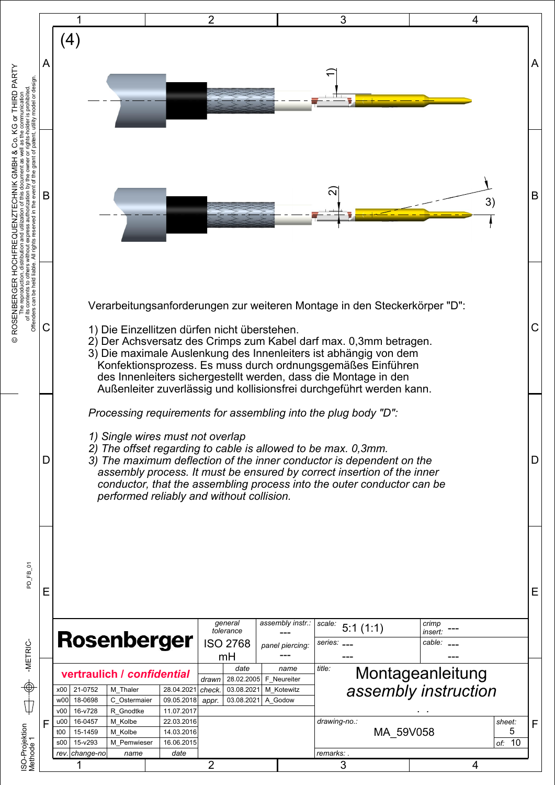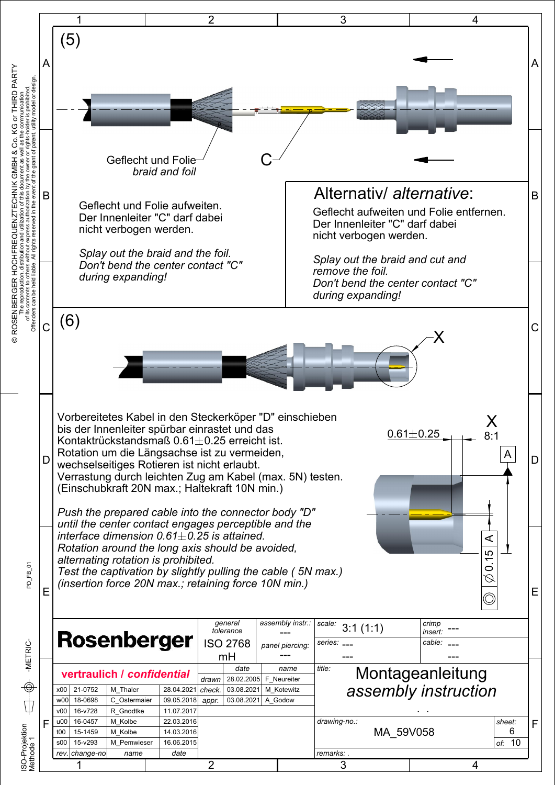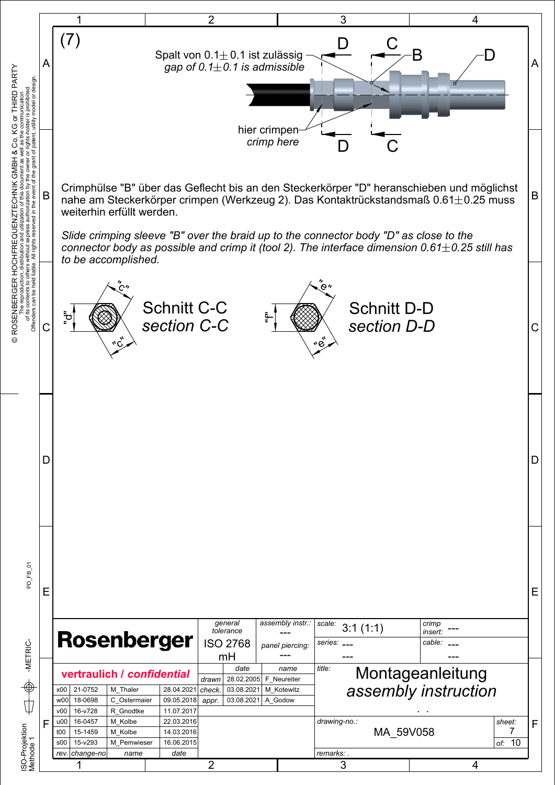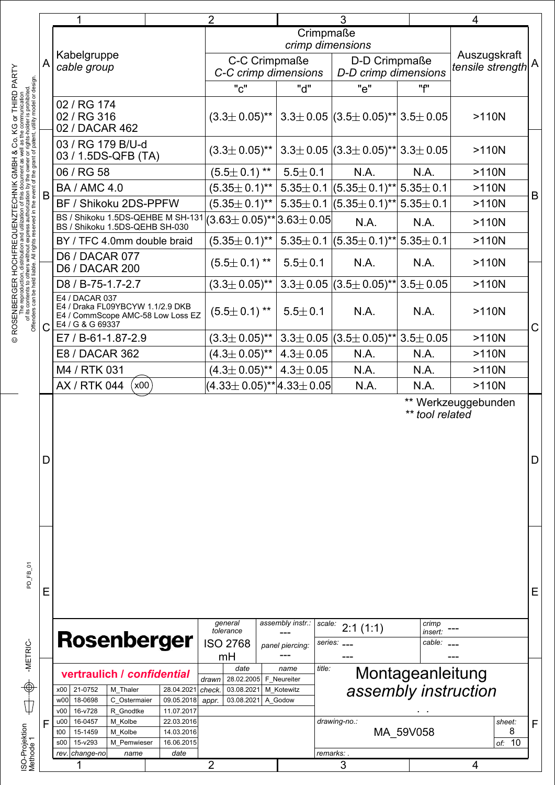|                                                                                                                                                                                                                                     |   |                                                                                                                                                                                 | 3                                                                          |                                                        |                                                   | 4                          |                                                      |   |
|-------------------------------------------------------------------------------------------------------------------------------------------------------------------------------------------------------------------------------------|---|---------------------------------------------------------------------------------------------------------------------------------------------------------------------------------|----------------------------------------------------------------------------|--------------------------------------------------------|---------------------------------------------------|----------------------------|------------------------------------------------------|---|
|                                                                                                                                                                                                                                     |   |                                                                                                                                                                                 |                                                                            | Crimpmaße                                              |                                                   |                            |                                                      |   |
|                                                                                                                                                                                                                                     |   | Kabelgruppe                                                                                                                                                                     |                                                                            | crimp dimensions                                       |                                                   |                            | Auszugskraft                                         |   |
|                                                                                                                                                                                                                                     | A | cable group                                                                                                                                                                     | C-C Crimpmaße<br>C-C crimp dimensions                                      |                                                        | D-D Crimpmaße<br>D-D crimp dimensions             |                            | tensile strength $\mathsf{ }^{\mathsf{A}}\mathsf{ }$ |   |
| KOSENBERGER HOCHFREQUENZTECHNIK GMBH & Co. KG or THIRD PARTY<br>The reproduction, distribution and utilization of this document as well as the communication<br>of its contents to others without express authorization by the owne |   |                                                                                                                                                                                 | "c"                                                                        | "d"                                                    | "e"                                               | "f"                        |                                                      |   |
|                                                                                                                                                                                                                                     |   | 02 / RG 174<br>02 / RG 316<br>02 / DACAR 462                                                                                                                                    | $(3.3\pm 0.05)$ ** 3.3 $\pm$ 0.05 $(3.5\pm 0.05)$ ** 3.5 $\pm$ 0.05        |                                                        |                                                   |                            | $>110N$                                              |   |
|                                                                                                                                                                                                                                     |   | 03 / RG 179 B/U-d<br>03 / 1.5DS-QFB (TA)                                                                                                                                        | $(3.3\pm 0.05)$ **   3.3 $\pm$ 0.05  (3.3 $\pm$ 0.05)**   3.3 $\pm$ 0.05   |                                                        |                                                   |                            | $>110N$                                              |   |
|                                                                                                                                                                                                                                     |   | 06 / RG 58                                                                                                                                                                      | $(5.5 \pm 0.1)$ **                                                         | $5.5 \pm 0.1$                                          | N.A.                                              | N.A.                       | $>110N$                                              |   |
|                                                                                                                                                                                                                                     | B | <b>BA / AMC 4.0</b>                                                                                                                                                             | $(5.35\pm 0.1)^{**}$ 5.35 $\pm$ 0.1 $(5.35\pm 0.1)^{**}$                   |                                                        |                                                   | $5.35 \pm 0.1$             | $>110N$                                              | B |
|                                                                                                                                                                                                                                     |   | BF / Shikoku 2DS-PPFW                                                                                                                                                           | $(5.35\pm 0.1)^{**}$ 5.35 $\pm$ 0.1 $(5.35\pm 0.1)^{**}$                   |                                                        |                                                   | $5.35 \pm 0.1$             | $>110N$                                              |   |
|                                                                                                                                                                                                                                     |   | BS / Shikoku 1.5DS-QEHBE M SH-131<br>BS / Shikoku 1.5DS-QEHB SH-030                                                                                                             | $(3.63 \pm 0.05)$ ** $ 3.63 \pm 0.05 $                                     |                                                        | N.A.                                              | N.A.                       | $>110N$                                              |   |
|                                                                                                                                                                                                                                     |   | BY / TFC 4.0mm double braid                                                                                                                                                     | $(5.35 \pm 0.1)$ **                                                        |                                                        | $\vert$ 5.35 $\pm$ 0.1 $\vert$ (5.35 $\pm$ 0.1)** | $5.35 \pm 0.1$             | $>110N$                                              |   |
|                                                                                                                                                                                                                                     |   | <b>D6 / DACAR 077</b><br><b>D6 / DACAR 200</b>                                                                                                                                  | $(5.5 \pm 0.1)$ **                                                         | $5.5 \pm 0.1$                                          | N.A.                                              | N.A.                       | $>110N$                                              |   |
|                                                                                                                                                                                                                                     |   | D8 / B-75-1.7-2.7                                                                                                                                                               | $(3.3 \pm 0.05)^{**}$ 3.3 $\pm$ 0.05 $(3.5 \pm 0.05)^{**}$                 |                                                        |                                                   | $3.5 \pm 0.05$             | $>110N$                                              |   |
| © ROSENBERGEI                                                                                                                                                                                                                       |   | E4 / DACAR 037<br>E4 / Draka FL09YBCYW 1.1/2.9 DKB<br>E4 / CommScope AMC-58 Low Loss EZ<br>E4 / G & G 69337                                                                     | $(5.5 \pm 0.1)$ **                                                         | $5.5 \pm 0.1$                                          | N.A.                                              | N.A.                       | $>110N$                                              | C |
|                                                                                                                                                                                                                                     |   | E7 / B-61-1.87-2.9                                                                                                                                                              | $(3.3\pm 0.05)$ ** 3.3 $\pm$ 0.05 $(3.5\pm 0.05)$ ** 3.5 $\pm$ 0.05        |                                                        |                                                   |                            | $>110N$                                              |   |
|                                                                                                                                                                                                                                     |   | E8 / DACAR 362                                                                                                                                                                  | $(4.3 \pm 0.05)$ **                                                        | $4.3 \pm 0.05$                                         | N.A.                                              | N.A.                       | $>110N$                                              |   |
|                                                                                                                                                                                                                                     |   | M4 / RTK 031                                                                                                                                                                    | $(4.3 \pm 0.05)$ **                                                        | $14.3 \pm 0.05$                                        | N.A.                                              | N.A.                       | $>110N$                                              |   |
|                                                                                                                                                                                                                                     |   | AX / RTK 044<br>(x00)                                                                                                                                                           | $(4.33\pm0.05)$ ** $ 4.33\pm0.05 $                                         |                                                        | N.A.                                              | N.A.                       | $>110N$                                              |   |
|                                                                                                                                                                                                                                     | D |                                                                                                                                                                                 |                                                                            |                                                        |                                                   | ** tool related            | ** Werkzeuggebunden                                  | D |
| PD_FB_01                                                                                                                                                                                                                            | Е | <b>Rosenberger</b>                                                                                                                                                              | general<br>tolerance<br><b>ISO 2768</b>                                    | assembly instr.:<br>scale:<br>panel piercing:          | 2:1(1:1)<br>series: __                            | crimp<br>insert:<br>cable: |                                                      | E |
| -METRIC-<br>$\bigoplus$                                                                                                                                                                                                             |   |                                                                                                                                                                                 | mH                                                                         |                                                        |                                                   |                            |                                                      |   |
|                                                                                                                                                                                                                                     |   | vertraulich / confidential<br>21-0752<br>M Thaler<br>28.04.2021<br>x00<br>w <sub>00</sub><br>18-0698<br>C Ostermaier<br>09.05.2018<br>16-v728<br>v00<br>R Gnodtke<br>11.07.2017 | date<br>28.02.2005<br>drawn<br>check.<br>03.08.2021<br>03.08.2021<br>appr. | title:<br>name<br>F Neureiter<br>M Kotewitz<br>A Godow | assembly instruction                              | Montageanleitung           |                                                      |   |
| ISO-Projektion<br>Methode 1                                                                                                                                                                                                         | F | 16-0457<br>M Kolbe<br>u00<br>22.03.2016<br>14.03.2016<br>15-1459<br>M Kolbe<br>t00                                                                                              |                                                                            |                                                        | drawing-no.:                                      | MA 59V058                  | sheet:<br>8                                          | F |
|                                                                                                                                                                                                                                     |   | 15-v293<br>16.06.2015<br>\$00<br>M Pemwieser<br>rev. change-no<br>date<br>name                                                                                                  |                                                                            |                                                        | <i>remarks:</i> .                                 |                            | 10<br>of:                                            |   |
|                                                                                                                                                                                                                                     |   |                                                                                                                                                                                 | 2                                                                          |                                                        | 3                                                 |                            | 4                                                    |   |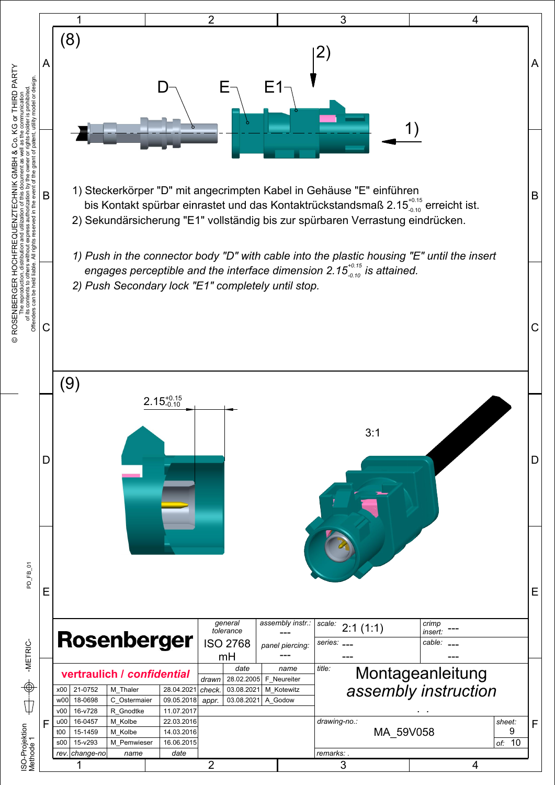